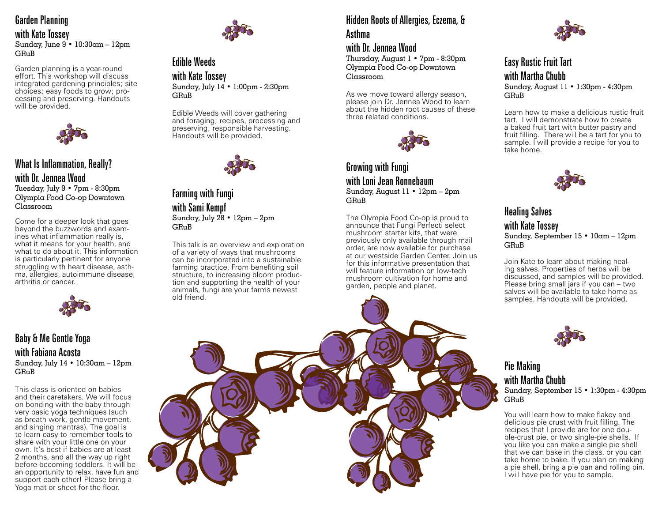# Garden Planning

with Kate Tossey Sunday, June 9 • 10:30am – 12pm  $GR<sub>u</sub>R$ 

Garden planning is a year-round effort. This workshop will discuss integrated gardening principles; site choices; easy foods to grow; processing and preserving. Handouts will be provided.



# What Is Inflammation, Really? with Dr. Jennea Wood

Tuesday, July 9 • 7pm - 8:30pm Olympia Food Co-op Downtown Classroom

Come for a deeper look that goes beyond the buzzwords and examines what inflammation really is, what it means for your health, and what to do about it. This information is particularly pertinent for anyone<br>struggling with heart disease, asthma, allergies, autoimmune disease, arthritis or cancer.



#### Baby & Me Gentle Yoga with Fabiana Acosta Sunday, July 14 • 10:30am – 12pm GRuB

This class is oriented on babies and their caretakers. We will focus on bonding with the baby through very basic yoga techniques (such as breath work, gentle movement, and singing mantras). The goal is to learn easy to remember tools to share with your little one on your own. It's best if babies are at least 2 months, and all the way up right before becoming toddlers. It will be an opportunity to relax, have fun and support each other! Please bring a Yoga mat or sheet for the floor.



### Edible Weeds with Kate Tossey Sunday, July 14 • 1:00pm - 2:30pm GRuB

Edible Weeds will cover gathering and foraging; recipes, processing and preserving; responsible harvesting. Handouts will be provided.



Farming with Fungi with Sami Kempf Sunday, July 28 • 12pm – 2pm  $G$  $R_1$  $R_2$ 

This talk is an overview and exploration of a variety of ways that mushrooms can be incorporated into a sustainable farming practice. From benefiting soil structure, to increasing bloom production and supporting the health of your animals, fungi are your farms newest old friend.

# Hidden Roots of Allergies, Eczema, &

Asthma

## with Dr. Jennea Wood

Thursday, August 1 • 7pm - 8:30pm Olympia Food Co-op Downtown Classroom

As we move toward allergy season, please join Dr. Jennea Wood to learn about the hidden root causes of these three related conditions.



### Growing with Fungi with Loni Jean Ronnebaum

Sunday, August 11 • 12pm – 2pm **GRuB** 

The Olympia Food Co-op is proud to announce that Fungi Perfecti select mushroom starter kits, that were previously only available through mail order, are now available for purchase at our westside Garden Center. Join us for this informative presentation that will feature information on low-tech mushroom cultivation for home and garden, people and planet.



## Easy Rustic Fruit Tart with Martha Chubb

Sunday, August 11 • 1:30pm - 4:30pm GRuB

Learn how to make a delicious rustic fruit tart. I will demonstrate how to create a baked fruit tart with butter pastry and fruit filling. There will be a tart for you to sample. I will provide a recipe for you to take home.



#### Healing Salves with Kate Tossey Sunday, September 15 • 10am – 12pm **GRuB**

Join Kate to learn about making healing salves. Properties of herbs will be discussed, and samples will be provided. Please bring small jars if you can – two salves will be available to take home as samples. Handouts will be provided.



#### Pie Making with Martha Chubb Sunday, September 15 • 1:30pm - 4:30pm **GRuB**

You will learn how to make flakey and delicious pie crust with fruit filling. The recipes that I provide are for one double-crust pie, or two single-pie shells. If you like you can make a single pie shell that we can bake in the class, or you can take home to bake. If you plan on making a pie shell, bring a pie pan and rolling pin. I will have pie for you to sample.